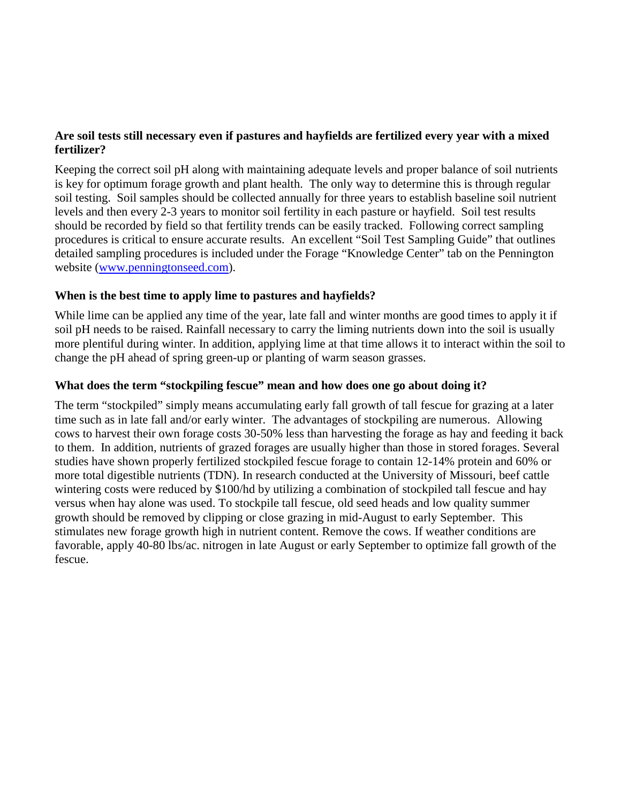# **Are soil tests still necessary even if pastures and hayfields are fertilized every year with a mixed fertilizer?**

Keeping the correct soil pH along with maintaining adequate levels and proper balance of soil nutrients is key for optimum forage growth and plant health. The only way to determine this is through regular soil testing. Soil samples should be collected annually for three years to establish baseline soil nutrient levels and then every 2-3 years to monitor soil fertility in each pasture or hayfield. Soil test results should be recorded by field so that fertility trends can be easily tracked. Following correct sampling procedures is critical to ensure accurate results. An excellent "Soil Test Sampling Guide" that outlines detailed sampling procedures is included under the Forage "Knowledge Center" tab on the Pennington website [\(www.penningtonseed.com\)](http://www.penningtonseed.com/).

### **When is the best time to apply lime to pastures and hayfields?**

While lime can be applied any time of the year, late fall and winter months are good times to apply it if soil pH needs to be raised. Rainfall necessary to carry the liming nutrients down into the soil is usually more plentiful during winter. In addition, applying lime at that time allows it to interact within the soil to change the pH ahead of spring green-up or planting of warm season grasses.

### **What does the term "stockpiling fescue" mean and how does one go about doing it?**

The term "stockpiled" simply means accumulating early fall growth of tall fescue for grazing at a later time such as in late fall and/or early winter. The advantages of stockpiling are numerous. Allowing cows to harvest their own forage costs 30-50% less than harvesting the forage as hay and feeding it back to them. In addition, nutrients of grazed forages are usually higher than those in stored forages. Several studies have shown properly fertilized stockpiled fescue forage to contain 12-14% protein and 60% or more total digestible nutrients (TDN). In research conducted at the University of Missouri, beef cattle wintering costs were reduced by \$100/hd by utilizing a combination of stockpiled tall fescue and hay versus when hay alone was used. To stockpile tall fescue, old seed heads and low quality summer growth should be removed by clipping or close grazing in mid-August to early September. This stimulates new forage growth high in nutrient content. Remove the cows. If weather conditions are favorable, apply 40-80 lbs/ac. nitrogen in late August or early September to optimize fall growth of the fescue.